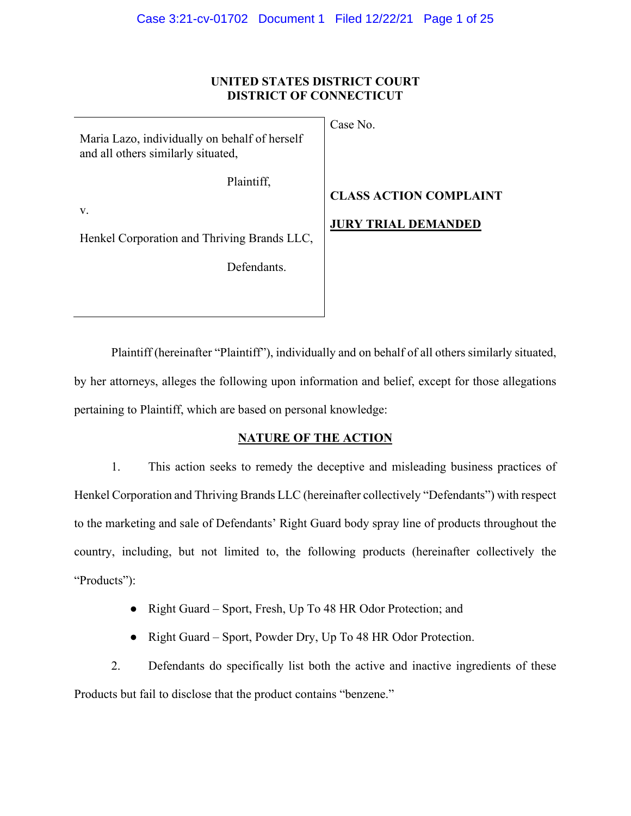### **UNITED STATES DISTRICT COURT DISTRICT OF CONNECTICUT**

Maria Lazo, individually on behalf of herself and all others similarly situated,

Case No.

Plaintiff,

v.

Henkel Corporation and Thriving Brands LLC,

Defendants.

# **CLASS ACTION COMPLAINT**

# **JURY TRIAL DEMANDED**

Plaintiff (hereinafter "Plaintiff"), individually and on behalf of all others similarly situated, by her attorneys, alleges the following upon information and belief, except for those allegations pertaining to Plaintiff, which are based on personal knowledge:

## **NATURE OF THE ACTION**

1. This action seeks to remedy the deceptive and misleading business practices of Henkel Corporation and Thriving Brands LLC (hereinafter collectively "Defendants") with respect to the marketing and sale of Defendants' Right Guard body spray line of products throughout the country, including, but not limited to, the following products (hereinafter collectively the "Products":

- Right Guard Sport, Fresh, Up To 48 HR Odor Protection; and
- Right Guard Sport, Powder Dry, Up To 48 HR Odor Protection.

2. Defendants do specifically list both the active and inactive ingredients of these Products but fail to disclose that the product contains "benzene."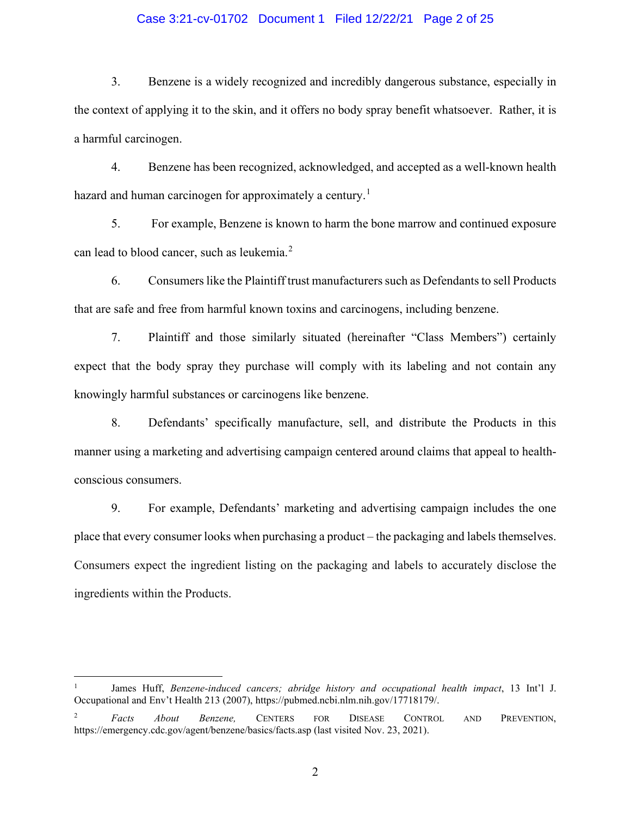### Case 3:21-cv-01702 Document 1 Filed 12/22/21 Page 2 of 25

3. Benzene is a widely recognized and incredibly dangerous substance, especially in the context of applying it to the skin, and it offers no body spray benefit whatsoever. Rather, it is a harmful carcinogen.

4. Benzene has been recognized, acknowledged, and accepted as a well-known health hazard and human carcinogen for approximately a century.<sup>[1](#page-1-0)</sup>

5. For example, Benzene is known to harm the bone marrow and continued exposure can lead to blood cancer, such as leukemia.<sup>[2](#page-1-1)</sup>

6. Consumers like the Plaintiff trust manufacturers such as Defendants to sell Products that are safe and free from harmful known toxins and carcinogens, including benzene.

7. Plaintiff and those similarly situated (hereinafter "Class Members") certainly expect that the body spray they purchase will comply with its labeling and not contain any knowingly harmful substances or carcinogens like benzene.

8. Defendants' specifically manufacture, sell, and distribute the Products in this manner using a marketing and advertising campaign centered around claims that appeal to healthconscious consumers.

9. For example, Defendants' marketing and advertising campaign includes the one place that every consumer looks when purchasing a product – the packaging and labels themselves. Consumers expect the ingredient listing on the packaging and labels to accurately disclose the ingredients within the Products.

<span id="page-1-0"></span><sup>1</sup> James Huff, *Benzene-induced cancers; abridge history and occupational health impact*, 13 Int'l J. Occupational and Env't Health 213 (2007), https://pubmed.ncbi.nlm.nih.gov/17718179/.

<span id="page-1-1"></span><sup>2</sup> *Facts About Benzene,* CENTERS FOR DISEASE CONTROL AND PREVENTION, https://emergency.cdc.gov/agent/benzene/basics/facts.asp (last visited Nov. 23, 2021).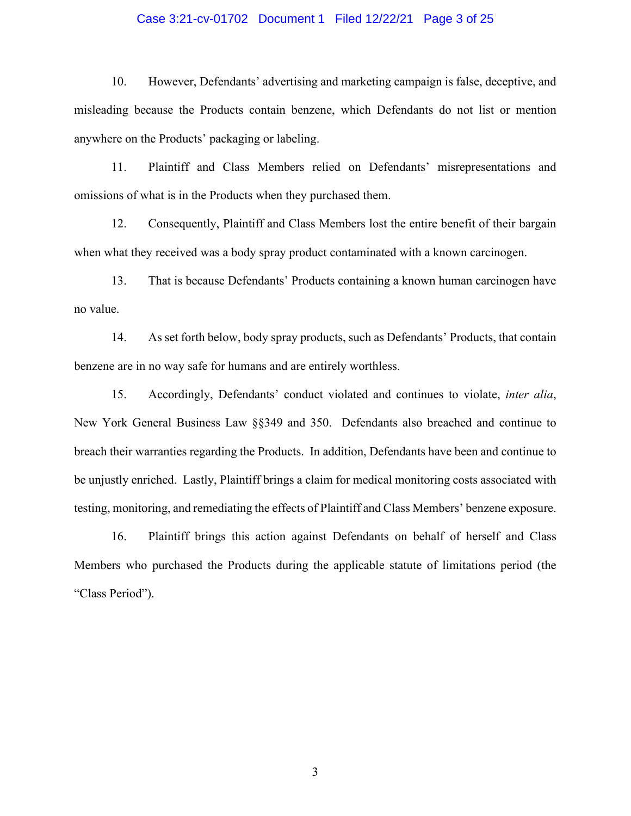### Case 3:21-cv-01702 Document 1 Filed 12/22/21 Page 3 of 25

10. However, Defendants' advertising and marketing campaign is false, deceptive, and misleading because the Products contain benzene, which Defendants do not list or mention anywhere on the Products' packaging or labeling.

11. Plaintiff and Class Members relied on Defendants' misrepresentations and omissions of what is in the Products when they purchased them.

12. Consequently, Plaintiff and Class Members lost the entire benefit of their bargain when what they received was a body spray product contaminated with a known carcinogen.

13. That is because Defendants' Products containing a known human carcinogen have no value.

14. As set forth below, body spray products, such as Defendants' Products, that contain benzene are in no way safe for humans and are entirely worthless.

15. Accordingly, Defendants' conduct violated and continues to violate, *inter alia*, New York General Business Law §§349 and 350. Defendants also breached and continue to breach their warranties regarding the Products. In addition, Defendants have been and continue to be unjustly enriched. Lastly, Plaintiff brings a claim for medical monitoring costs associated with testing, monitoring, and remediating the effects of Plaintiff and Class Members' benzene exposure.

16. Plaintiff brings this action against Defendants on behalf of herself and Class Members who purchased the Products during the applicable statute of limitations period (the "Class Period").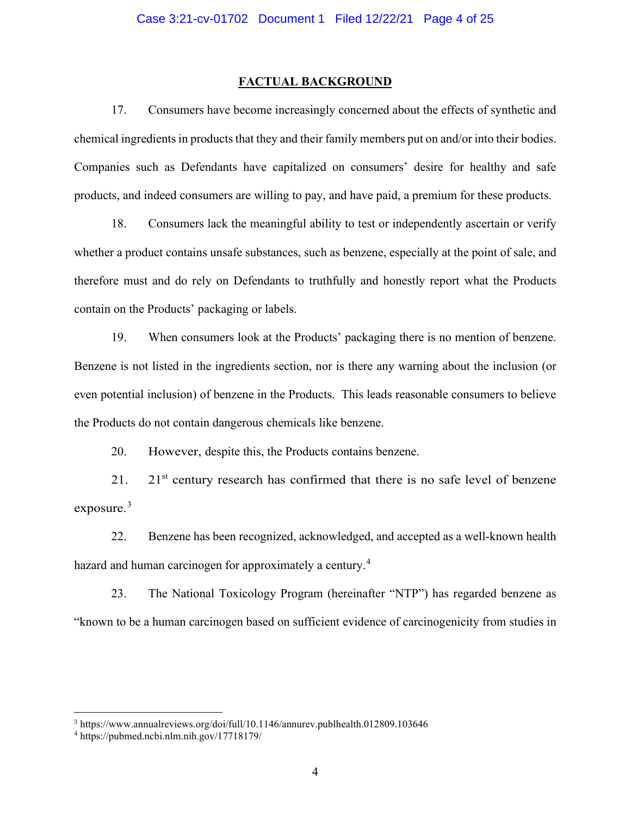#### **FACTUAL BACKGROUND**

17. Consumers have become increasingly concerned about the effects of synthetic and chemical ingredients in products that they and their family members put on and/or into their bodies. Companies such as Defendants have capitalized on consumers' desire for healthy and safe products, and indeed consumers are willing to pay, and have paid, a premium for these products.

18. Consumers lack the meaningful ability to test or independently ascertain or verify whether a product contains unsafe substances, such as benzene, especially at the point of sale, and therefore must and do rely on Defendants to truthfully and honestly report what the Products contain on the Products' packaging or labels.

19. When consumers look at the Products' packaging there is no mention of benzene. Benzene is not listed in the ingredients section, nor is there any warning about the inclusion (or even potential inclusion) of benzene in the Products. This leads reasonable consumers to believe the Products do not contain dangerous chemicals like benzene.

20. However, despite this, the Products contains benzene.

21. 21st century research has confirmed that there is no safe level of benzene exposure.<sup>[3](#page-3-0)</sup>

22. Benzene has been recognized, acknowledged, and accepted as a well-known health hazard and human carcinogen for approximately a century.<sup>[4](#page-3-1)</sup>

23. The National Toxicology Program (hereinafter "NTP") has regarded benzene as "known to be a human carcinogen based on sufficient evidence of carcinogenicity from studies in

<span id="page-3-0"></span><sup>3</sup> https://www.annualreviews.org/doi/full/10.1146/annurev.publhealth.012809.103646

<span id="page-3-1"></span><sup>4</sup> https://pubmed.ncbi.nlm.nih.gov/17718179/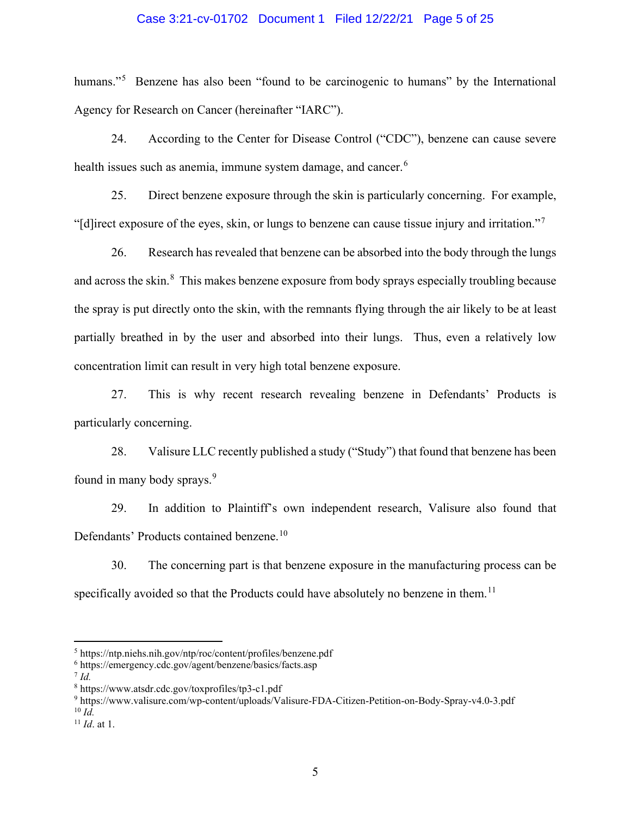### Case 3:21-cv-01702 Document 1 Filed 12/22/21 Page 5 of 25

humans."<sup>[5](#page-4-0)</sup> Benzene has also been "found to be carcinogenic to humans" by the International Agency for Research on Cancer (hereinafter "IARC").

24. According to the Center for Disease Control ("CDC"), benzene can cause severe health issues such as anemia, immune system damage, and cancer.<sup>[6](#page-4-1)</sup>

25. Direct benzene exposure through the skin is particularly concerning. For example, "[d]irect exposure of the eyes, skin, or lungs to benzene can cause tissue injury and irritation."[7](#page-4-2)

26. Research has revealed that benzene can be absorbed into the body through the lungs and across the skin.<sup>[8](#page-4-3)</sup> This makes benzene exposure from body sprays especially troubling because the spray is put directly onto the skin, with the remnants flying through the air likely to be at least partially breathed in by the user and absorbed into their lungs. Thus, even a relatively low concentration limit can result in very high total benzene exposure.

27. This is why recent research revealing benzene in Defendants' Products is particularly concerning.

28. Valisure LLC recently published a study ("Study") that found that benzene has been found in many body sprays. [9](#page-4-4)

29. In addition to Plaintiff's own independent research, Valisure also found that Defendants' Products contained benzene.<sup>[10](#page-4-5)</sup>

30. The concerning part is that benzene exposure in the manufacturing process can be specifically avoided so that the Products could have absolutely no benzene in them.<sup>[11](#page-4-6)</sup>

<span id="page-4-4"></span><sup>9</sup> https://www.valisure.com/wp-content/uploads/Valisure-FDA-Citizen-Petition-on-Body-Spray-v4.0-3.pdf  $^{10}$  *Id.* 

<span id="page-4-0"></span> $5$  https://ntp.niehs.nih.gov/ntp/roc/content/profiles/benzene.pdf

<span id="page-4-1"></span><sup>6</sup> https://emergency.cdc.gov/agent/benzene/basics/facts.asp

<span id="page-4-3"></span><span id="page-4-2"></span> $^7$  *Id.* 

<sup>8</sup> https://www.atsdr.cdc.gov/toxprofiles/tp3-c1.pdf

<span id="page-4-6"></span><span id="page-4-5"></span><sup>11</sup> *Id*. at 1.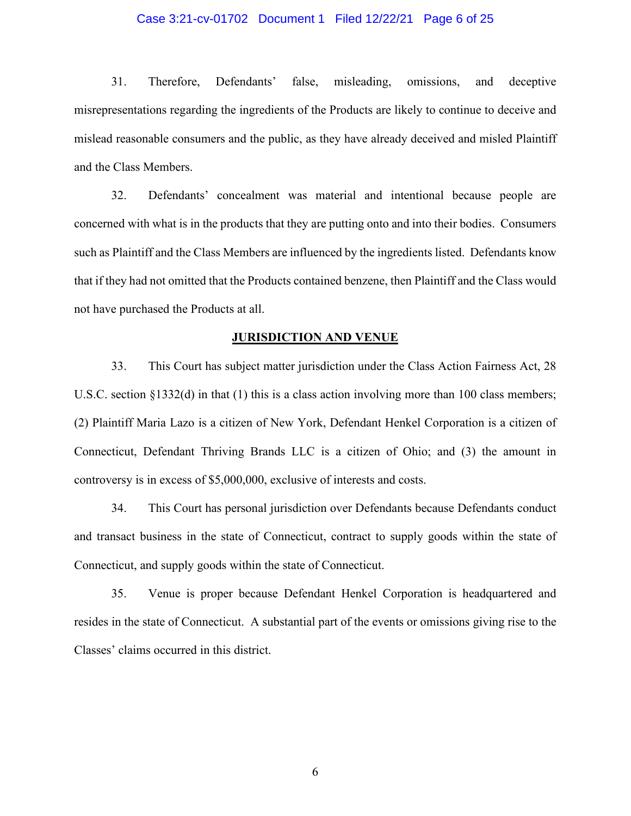### Case 3:21-cv-01702 Document 1 Filed 12/22/21 Page 6 of 25

31. Therefore, Defendants' false, misleading, omissions, and deceptive misrepresentations regarding the ingredients of the Products are likely to continue to deceive and mislead reasonable consumers and the public, as they have already deceived and misled Plaintiff and the Class Members.

32. Defendants' concealment was material and intentional because people are concerned with what is in the products that they are putting onto and into their bodies. Consumers such as Plaintiff and the Class Members are influenced by the ingredients listed. Defendants know that if they had not omitted that the Products contained benzene, then Plaintiff and the Class would not have purchased the Products at all.

#### **JURISDICTION AND VENUE**

33. This Court has subject matter jurisdiction under the Class Action Fairness Act, 28 U.S.C. section §1332(d) in that (1) this is a class action involving more than 100 class members; (2) Plaintiff Maria Lazo is a citizen of New York, Defendant Henkel Corporation is a citizen of Connecticut, Defendant Thriving Brands LLC is a citizen of Ohio; and (3) the amount in controversy is in excess of \$5,000,000, exclusive of interests and costs.

34. This Court has personal jurisdiction over Defendants because Defendants conduct and transact business in the state of Connecticut, contract to supply goods within the state of Connecticut, and supply goods within the state of Connecticut.

35. Venue is proper because Defendant Henkel Corporation is headquartered and resides in the state of Connecticut. A substantial part of the events or omissions giving rise to the Classes' claims occurred in this district.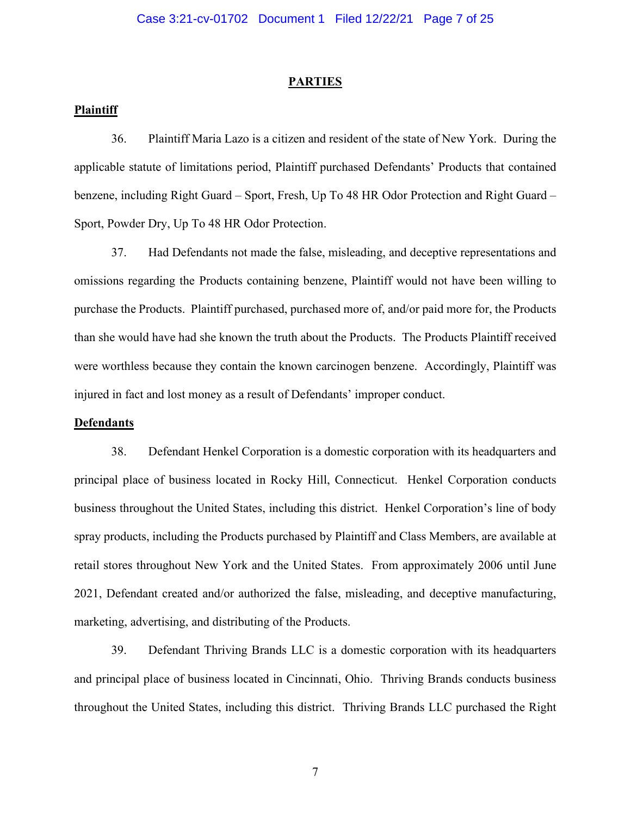#### **PARTIES**

### **Plaintiff**

36. Plaintiff Maria Lazo is a citizen and resident of the state of New York. During the applicable statute of limitations period, Plaintiff purchased Defendants' Products that contained benzene, including Right Guard – Sport, Fresh, Up To 48 HR Odor Protection and Right Guard – Sport, Powder Dry, Up To 48 HR Odor Protection.

37. Had Defendants not made the false, misleading, and deceptive representations and omissions regarding the Products containing benzene, Plaintiff would not have been willing to purchase the Products. Plaintiff purchased, purchased more of, and/or paid more for, the Products than she would have had she known the truth about the Products. The Products Plaintiff received were worthless because they contain the known carcinogen benzene. Accordingly, Plaintiff was injured in fact and lost money as a result of Defendants' improper conduct.

#### **Defendants**

38. Defendant Henkel Corporation is a domestic corporation with its headquarters and principal place of business located in Rocky Hill, Connecticut. Henkel Corporation conducts business throughout the United States, including this district. Henkel Corporation's line of body spray products, including the Products purchased by Plaintiff and Class Members, are available at retail stores throughout New York and the United States. From approximately 2006 until June 2021, Defendant created and/or authorized the false, misleading, and deceptive manufacturing, marketing, advertising, and distributing of the Products.

39. Defendant Thriving Brands LLC is a domestic corporation with its headquarters and principal place of business located in Cincinnati, Ohio. Thriving Brands conducts business throughout the United States, including this district. Thriving Brands LLC purchased the Right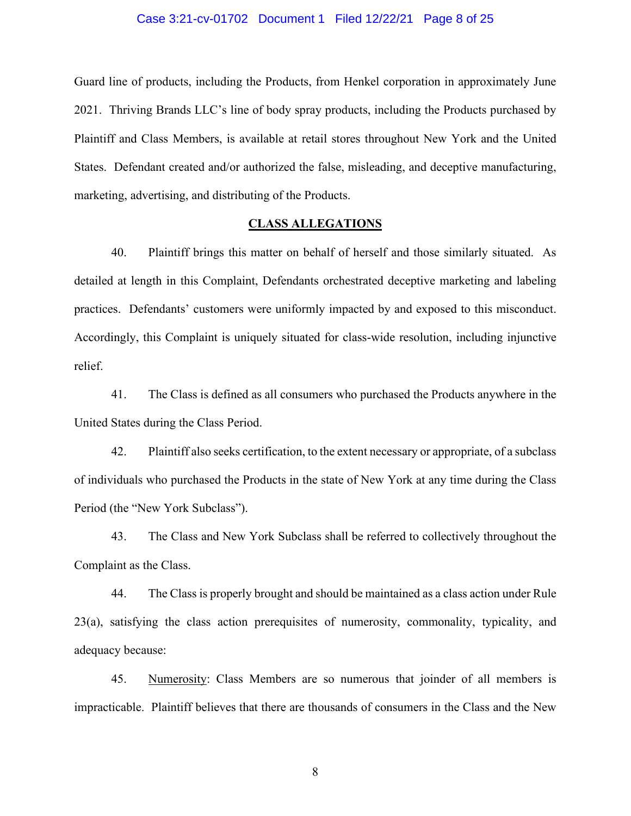#### Case 3:21-cv-01702 Document 1 Filed 12/22/21 Page 8 of 25

Guard line of products, including the Products, from Henkel corporation in approximately June 2021. Thriving Brands LLC's line of body spray products, including the Products purchased by Plaintiff and Class Members, is available at retail stores throughout New York and the United States. Defendant created and/or authorized the false, misleading, and deceptive manufacturing, marketing, advertising, and distributing of the Products.

### **CLASS ALLEGATIONS**

40. Plaintiff brings this matter on behalf of herself and those similarly situated. As detailed at length in this Complaint, Defendants orchestrated deceptive marketing and labeling practices. Defendants' customers were uniformly impacted by and exposed to this misconduct. Accordingly, this Complaint is uniquely situated for class-wide resolution, including injunctive relief.

41. The Class is defined as all consumers who purchased the Products anywhere in the United States during the Class Period.

42. Plaintiff also seeks certification, to the extent necessary or appropriate, of a subclass of individuals who purchased the Products in the state of New York at any time during the Class Period (the "New York Subclass").

43. The Class and New York Subclass shall be referred to collectively throughout the Complaint as the Class.

44. The Class is properly brought and should be maintained as a class action under Rule 23(a), satisfying the class action prerequisites of numerosity, commonality, typicality, and adequacy because:

45. Numerosity: Class Members are so numerous that joinder of all members is impracticable. Plaintiff believes that there are thousands of consumers in the Class and the New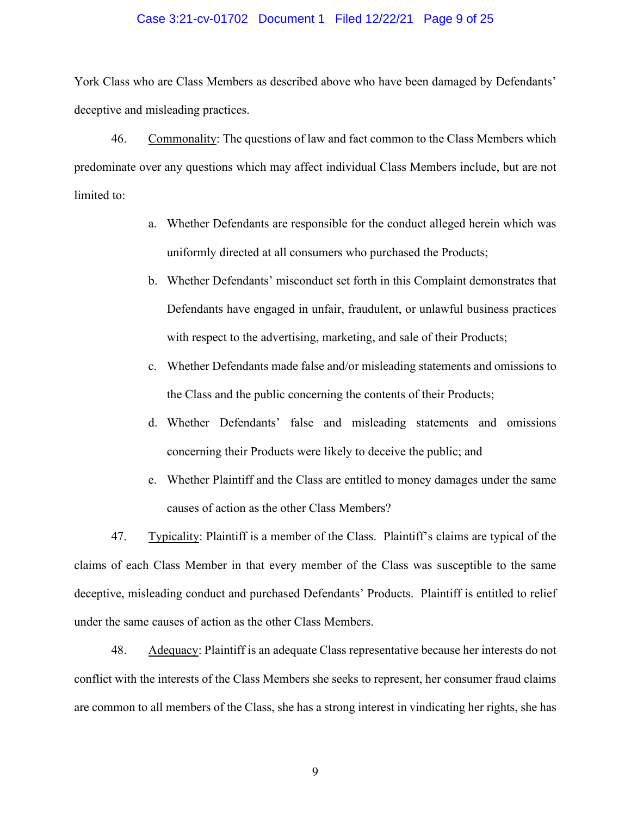#### Case 3:21-cv-01702 Document 1 Filed 12/22/21 Page 9 of 25

York Class who are Class Members as described above who have been damaged by Defendants' deceptive and misleading practices.

46. Commonality: The questions of law and fact common to the Class Members which predominate over any questions which may affect individual Class Members include, but are not limited to:

- a. Whether Defendants are responsible for the conduct alleged herein which was uniformly directed at all consumers who purchased the Products;
- b. Whether Defendants' misconduct set forth in this Complaint demonstrates that Defendants have engaged in unfair, fraudulent, or unlawful business practices with respect to the advertising, marketing, and sale of their Products;
- c. Whether Defendants made false and/or misleading statements and omissions to the Class and the public concerning the contents of their Products;
- d. Whether Defendants' false and misleading statements and omissions concerning their Products were likely to deceive the public; and
- e. Whether Plaintiff and the Class are entitled to money damages under the same causes of action as the other Class Members?

47. Typicality: Plaintiff is a member of the Class. Plaintiff's claims are typical of the claims of each Class Member in that every member of the Class was susceptible to the same deceptive, misleading conduct and purchased Defendants' Products. Plaintiff is entitled to relief under the same causes of action as the other Class Members.

48. Adequacy: Plaintiff is an adequate Class representative because her interests do not conflict with the interests of the Class Members she seeks to represent, her consumer fraud claims are common to all members of the Class, she has a strong interest in vindicating her rights, she has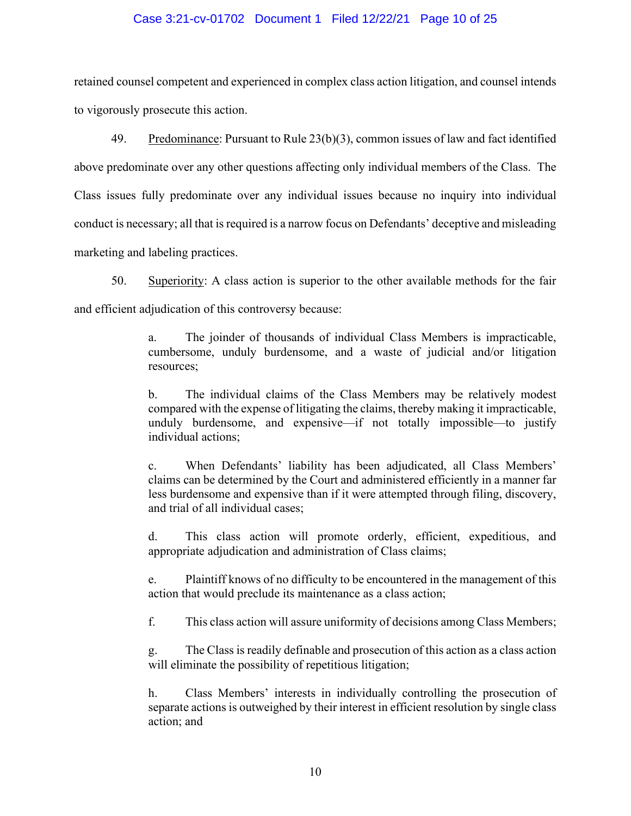### Case 3:21-cv-01702 Document 1 Filed 12/22/21 Page 10 of 25

retained counsel competent and experienced in complex class action litigation, and counsel intends to vigorously prosecute this action.

49. Predominance: Pursuant to Rule 23(b)(3), common issues of law and fact identified above predominate over any other questions affecting only individual members of the Class. The Class issues fully predominate over any individual issues because no inquiry into individual conduct is necessary; all that is required is a narrow focus on Defendants' deceptive and misleading marketing and labeling practices.

50. Superiority: A class action is superior to the other available methods for the fair and efficient adjudication of this controversy because:

> a. The joinder of thousands of individual Class Members is impracticable, cumbersome, unduly burdensome, and a waste of judicial and/or litigation resources;

> b. The individual claims of the Class Members may be relatively modest compared with the expense of litigating the claims, thereby making it impracticable, unduly burdensome, and expensive—if not totally impossible—to justify individual actions;

> c. When Defendants' liability has been adjudicated, all Class Members' claims can be determined by the Court and administered efficiently in a manner far less burdensome and expensive than if it were attempted through filing, discovery, and trial of all individual cases;

> d. This class action will promote orderly, efficient, expeditious, and appropriate adjudication and administration of Class claims;

> e. Plaintiff knows of no difficulty to be encountered in the management of this action that would preclude its maintenance as a class action;

> f. This class action will assure uniformity of decisions among Class Members;

g. The Class is readily definable and prosecution of this action as a class action will eliminate the possibility of repetitious litigation;

Class Members' interests in individually controlling the prosecution of separate actions is outweighed by their interest in efficient resolution by single class action; and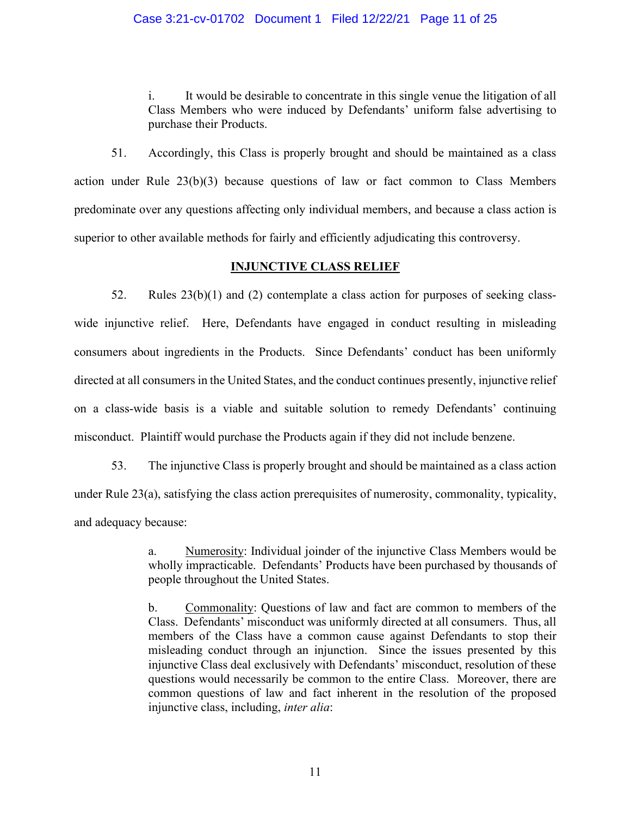### Case 3:21-cv-01702 Document 1 Filed 12/22/21 Page 11 of 25

i. It would be desirable to concentrate in this single venue the litigation of all Class Members who were induced by Defendants' uniform false advertising to purchase their Products.

51. Accordingly, this Class is properly brought and should be maintained as a class action under Rule 23(b)(3) because questions of law or fact common to Class Members predominate over any questions affecting only individual members, and because a class action is superior to other available methods for fairly and efficiently adjudicating this controversy.

### **INJUNCTIVE CLASS RELIEF**

52. Rules 23(b)(1) and (2) contemplate a class action for purposes of seeking classwide injunctive relief. Here, Defendants have engaged in conduct resulting in misleading consumers about ingredients in the Products. Since Defendants' conduct has been uniformly directed at all consumers in the United States, and the conduct continues presently, injunctive relief on a class-wide basis is a viable and suitable solution to remedy Defendants' continuing misconduct. Plaintiff would purchase the Products again if they did not include benzene.

53. The injunctive Class is properly brought and should be maintained as a class action under Rule 23(a), satisfying the class action prerequisites of numerosity, commonality, typicality, and adequacy because:

> a. Numerosity: Individual joinder of the injunctive Class Members would be wholly impracticable. Defendants' Products have been purchased by thousands of people throughout the United States.

> b. Commonality: Questions of law and fact are common to members of the Class. Defendants' misconduct was uniformly directed at all consumers. Thus, all members of the Class have a common cause against Defendants to stop their misleading conduct through an injunction. Since the issues presented by this injunctive Class deal exclusively with Defendants' misconduct, resolution of these questions would necessarily be common to the entire Class. Moreover, there are common questions of law and fact inherent in the resolution of the proposed injunctive class, including, *inter alia*: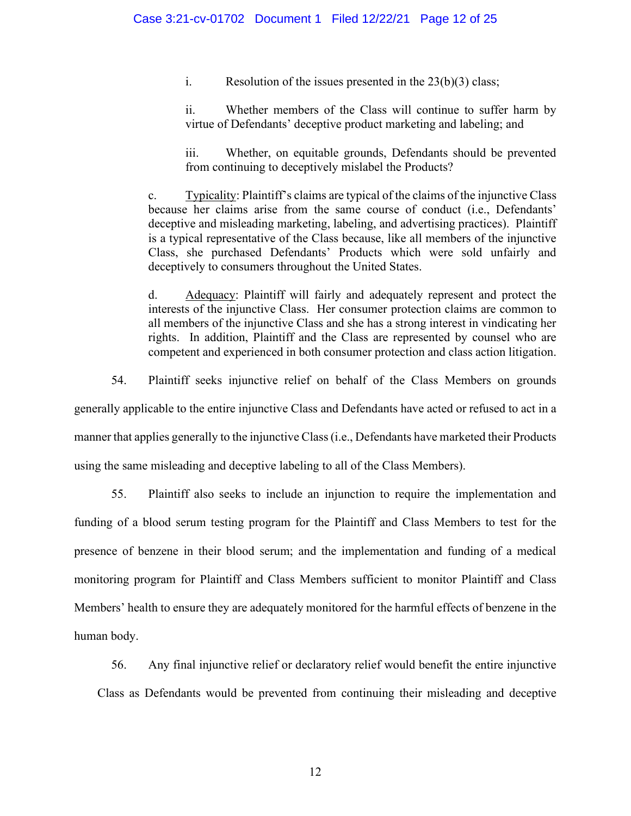i. Resolution of the issues presented in the  $23(b)(3)$  class;

ii. Whether members of the Class will continue to suffer harm by virtue of Defendants' deceptive product marketing and labeling; and

iii. Whether, on equitable grounds, Defendants should be prevented from continuing to deceptively mislabel the Products?

c. Typicality: Plaintiff's claims are typical of the claims of the injunctive Class because her claims arise from the same course of conduct (i.e., Defendants' deceptive and misleading marketing, labeling, and advertising practices). Plaintiff is a typical representative of the Class because, like all members of the injunctive Class, she purchased Defendants' Products which were sold unfairly and deceptively to consumers throughout the United States.

d. Adequacy: Plaintiff will fairly and adequately represent and protect the interests of the injunctive Class. Her consumer protection claims are common to all members of the injunctive Class and she has a strong interest in vindicating her rights. In addition, Plaintiff and the Class are represented by counsel who are competent and experienced in both consumer protection and class action litigation.

54. Plaintiff seeks injunctive relief on behalf of the Class Members on grounds

generally applicable to the entire injunctive Class and Defendants have acted or refused to act in a

manner that applies generally to the injunctive Class (i.e., Defendants have marketed their Products

using the same misleading and deceptive labeling to all of the Class Members).

55. Plaintiff also seeks to include an injunction to require the implementation and funding of a blood serum testing program for the Plaintiff and Class Members to test for the presence of benzene in their blood serum; and the implementation and funding of a medical monitoring program for Plaintiff and Class Members sufficient to monitor Plaintiff and Class Members' health to ensure they are adequately monitored for the harmful effects of benzene in the human body.

56. Any final injunctive relief or declaratory relief would benefit the entire injunctive

Class as Defendants would be prevented from continuing their misleading and deceptive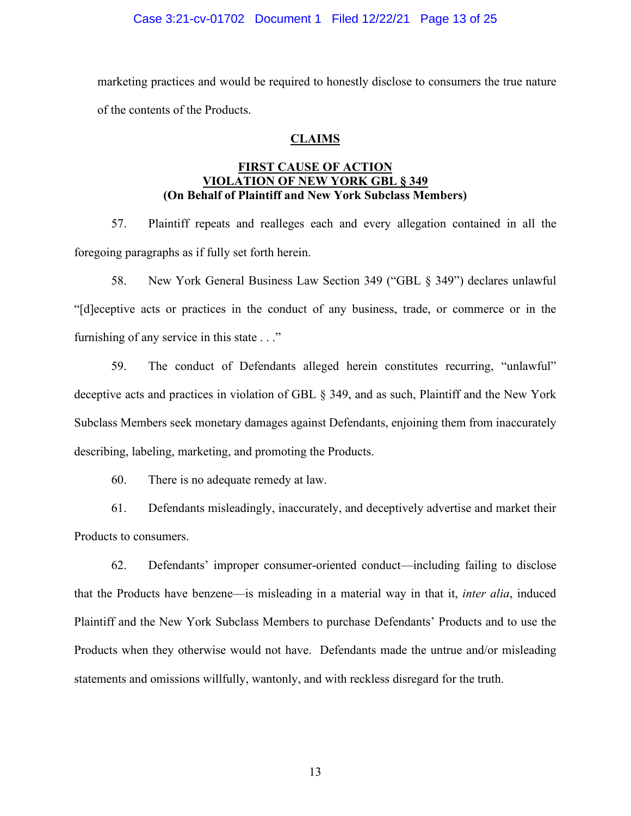### Case 3:21-cv-01702 Document 1 Filed 12/22/21 Page 13 of 25

marketing practices and would be required to honestly disclose to consumers the true nature of the contents of the Products.

### **CLAIMS**

### **FIRST CAUSE OF ACTION VIOLATION OF NEW YORK GBL § 349 (On Behalf of Plaintiff and New York Subclass Members)**

57. Plaintiff repeats and realleges each and every allegation contained in all the foregoing paragraphs as if fully set forth herein.

58. New York General Business Law Section 349 ("GBL § 349") declares unlawful "[d]eceptive acts or practices in the conduct of any business, trade, or commerce or in the furnishing of any service in this state . . ."

59. The conduct of Defendants alleged herein constitutes recurring, "unlawful" deceptive acts and practices in violation of GBL § 349, and as such, Plaintiff and the New York Subclass Members seek monetary damages against Defendants, enjoining them from inaccurately describing, labeling, marketing, and promoting the Products.

60. There is no adequate remedy at law.

61. Defendants misleadingly, inaccurately, and deceptively advertise and market their Products to consumers.

62. Defendants' improper consumer-oriented conduct—including failing to disclose that the Products have benzene—is misleading in a material way in that it, *inter alia*, induced Plaintiff and the New York Subclass Members to purchase Defendants' Products and to use the Products when they otherwise would not have. Defendants made the untrue and/or misleading statements and omissions willfully, wantonly, and with reckless disregard for the truth.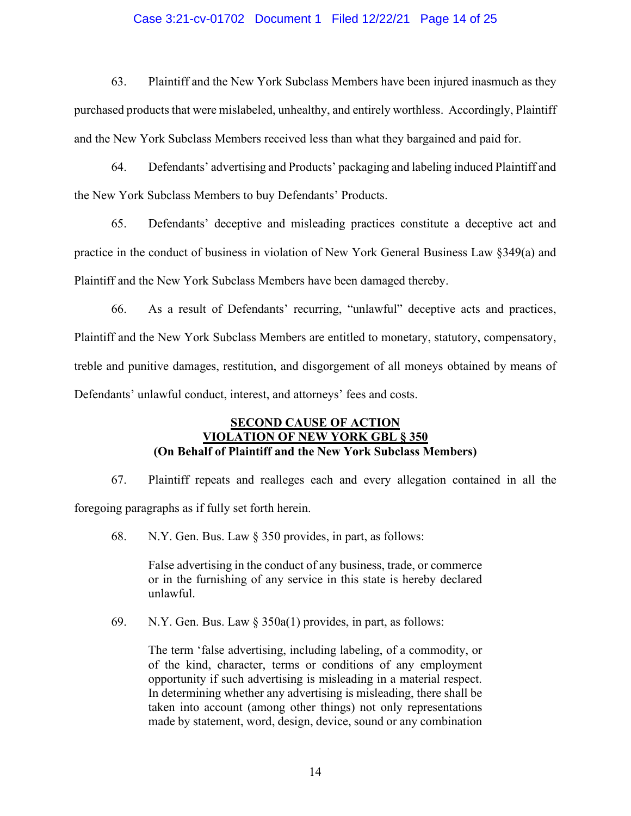### Case 3:21-cv-01702 Document 1 Filed 12/22/21 Page 14 of 25

63. Plaintiff and the New York Subclass Members have been injured inasmuch as they purchased products that were mislabeled, unhealthy, and entirely worthless. Accordingly, Plaintiff and the New York Subclass Members received less than what they bargained and paid for.

64. Defendants' advertising and Products' packaging and labeling induced Plaintiff and the New York Subclass Members to buy Defendants' Products.

65. Defendants' deceptive and misleading practices constitute a deceptive act and practice in the conduct of business in violation of New York General Business Law §349(a) and Plaintiff and the New York Subclass Members have been damaged thereby.

66. As a result of Defendants' recurring, "unlawful" deceptive acts and practices, Plaintiff and the New York Subclass Members are entitled to monetary, statutory, compensatory, treble and punitive damages, restitution, and disgorgement of all moneys obtained by means of Defendants' unlawful conduct, interest, and attorneys' fees and costs.

### **SECOND CAUSE OF ACTION VIOLATION OF NEW YORK GBL § 350 (On Behalf of Plaintiff and the New York Subclass Members)**

67. Plaintiff repeats and realleges each and every allegation contained in all the foregoing paragraphs as if fully set forth herein.

68. N.Y. Gen. Bus. Law § 350 provides, in part, as follows:

False advertising in the conduct of any business, trade, or commerce or in the furnishing of any service in this state is hereby declared unlawful.

69. N.Y. Gen. Bus. Law § 350a(1) provides, in part, as follows:

The term 'false advertising, including labeling, of a commodity, or of the kind, character, terms or conditions of any employment opportunity if such advertising is misleading in a material respect. In determining whether any advertising is misleading, there shall be taken into account (among other things) not only representations made by statement, word, design, device, sound or any combination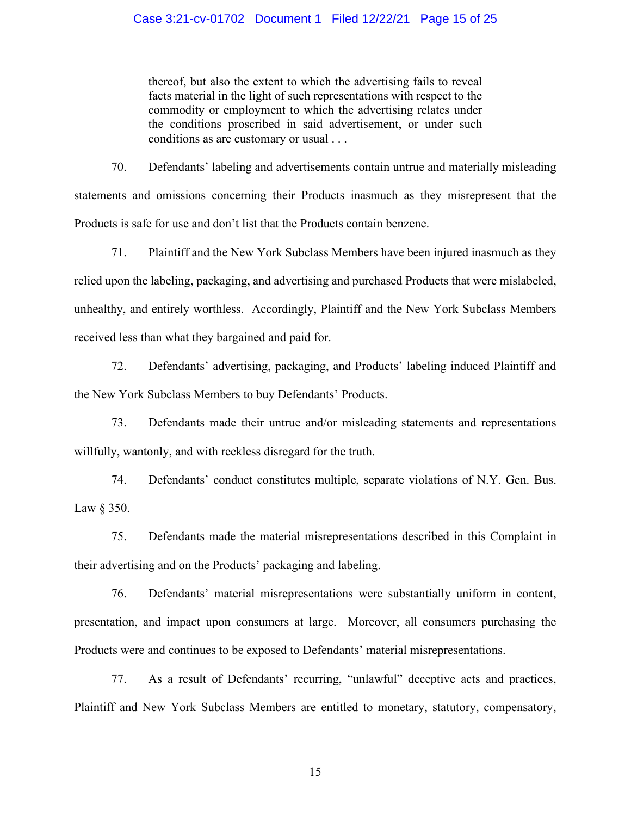### Case 3:21-cv-01702 Document 1 Filed 12/22/21 Page 15 of 25

thereof, but also the extent to which the advertising fails to reveal facts material in the light of such representations with respect to the commodity or employment to which the advertising relates under the conditions proscribed in said advertisement, or under such conditions as are customary or usual . . .

70. Defendants' labeling and advertisements contain untrue and materially misleading statements and omissions concerning their Products inasmuch as they misrepresent that the Products is safe for use and don't list that the Products contain benzene.

71. Plaintiff and the New York Subclass Members have been injured inasmuch as they relied upon the labeling, packaging, and advertising and purchased Products that were mislabeled, unhealthy, and entirely worthless. Accordingly, Plaintiff and the New York Subclass Members received less than what they bargained and paid for.

72. Defendants' advertising, packaging, and Products' labeling induced Plaintiff and the New York Subclass Members to buy Defendants' Products.

73. Defendants made their untrue and/or misleading statements and representations willfully, wantonly, and with reckless disregard for the truth.

74. Defendants' conduct constitutes multiple, separate violations of N.Y. Gen. Bus. Law § 350.

75. Defendants made the material misrepresentations described in this Complaint in their advertising and on the Products' packaging and labeling.

76. Defendants' material misrepresentations were substantially uniform in content, presentation, and impact upon consumers at large. Moreover, all consumers purchasing the Products were and continues to be exposed to Defendants' material misrepresentations.

77. As a result of Defendants' recurring, "unlawful" deceptive acts and practices, Plaintiff and New York Subclass Members are entitled to monetary, statutory, compensatory,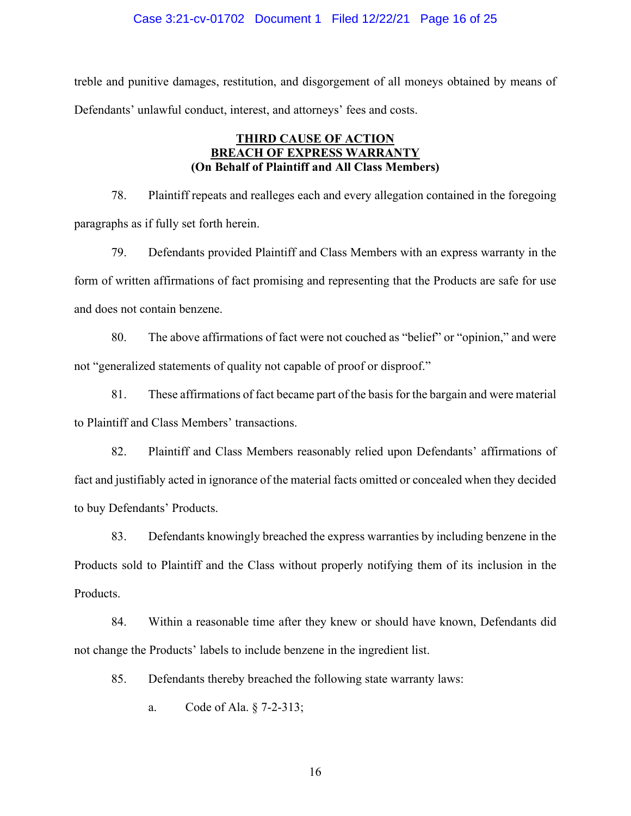#### Case 3:21-cv-01702 Document 1 Filed 12/22/21 Page 16 of 25

treble and punitive damages, restitution, and disgorgement of all moneys obtained by means of Defendants' unlawful conduct, interest, and attorneys' fees and costs.

### **THIRD CAUSE OF ACTION BREACH OF EXPRESS WARRANTY (On Behalf of Plaintiff and All Class Members)**

78. Plaintiff repeats and realleges each and every allegation contained in the foregoing paragraphs as if fully set forth herein.

79. Defendants provided Plaintiff and Class Members with an express warranty in the form of written affirmations of fact promising and representing that the Products are safe for use and does not contain benzene.

80. The above affirmations of fact were not couched as "belief" or "opinion," and were not "generalized statements of quality not capable of proof or disproof."

81. These affirmations of fact became part of the basis for the bargain and were material to Plaintiff and Class Members' transactions.

82. Plaintiff and Class Members reasonably relied upon Defendants' affirmations of fact and justifiably acted in ignorance of the material facts omitted or concealed when they decided to buy Defendants' Products.

83. Defendants knowingly breached the express warranties by including benzene in the Products sold to Plaintiff and the Class without properly notifying them of its inclusion in the Products.

84. Within a reasonable time after they knew or should have known, Defendants did not change the Products' labels to include benzene in the ingredient list.

85. Defendants thereby breached the following state warranty laws:

a. Code of Ala. § 7-2-313;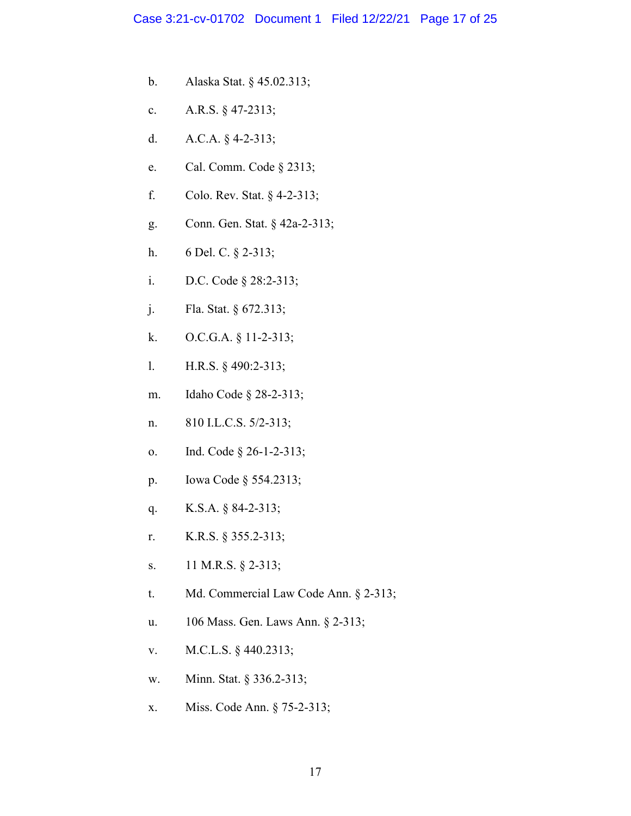- b. Alaska Stat. § 45.02.313;
- c. A.R.S. § 47-2313;
- d. A.C.A. § 4-2-313;
- e. Cal. Comm. Code § 2313;
- f. Colo. Rev. Stat. § 4-2-313;
- g. Conn. Gen. Stat. § 42a-2-313;
- h. 6 Del. C. § 2-313;
- i. D.C. Code § 28:2-313;
- j. Fla. Stat. § 672.313;
- k. O.C.G.A. § 11-2-313;
- l. H.R.S. § 490:2-313;
- m. Idaho Code § 28-2-313;
- n. 810 I.L.C.S. 5/2-313;
- o. Ind. Code § 26-1-2-313;
- p. Iowa Code § 554.2313;
- q. K.S.A. § 84-2-313;
- r. K.R.S. § 355.2-313;
- s. 11 M.R.S. § 2-313;
- t. Md. Commercial Law Code Ann. § 2-313;
- u. 106 Mass. Gen. Laws Ann. § 2-313;
- v. M.C.L.S. § 440.2313;
- w. Minn. Stat. § 336.2-313;
- x. Miss. Code Ann. § 75-2-313;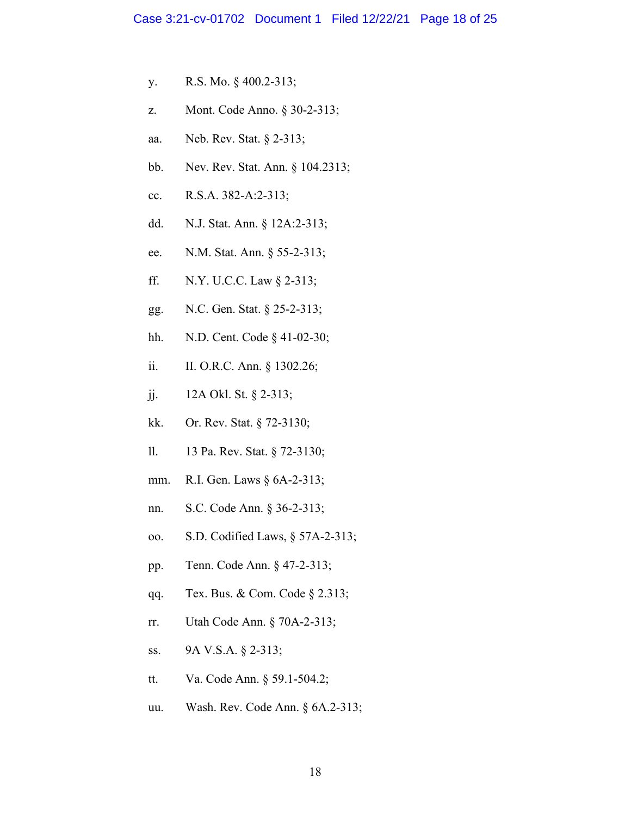- y. R.S. Mo. § 400.2-313;
- z. Mont. Code Anno. § 30-2-313;
- aa. Neb. Rev. Stat. § 2-313;
- bb. Nev. Rev. Stat. Ann. § 104.2313;
- cc. R.S.A. 382-A:2-313;
- dd. N.J. Stat. Ann. § 12A:2-313;
- ee. N.M. Stat. Ann. § 55-2-313;
- ff. N.Y. U.C.C. Law § 2-313;
- gg. N.C. Gen. Stat. § 25-2-313;
- hh. N.D. Cent. Code § 41-02-30;
- ii. II. O.R.C. Ann. § 1302.26;
- jj. 12A Okl. St. § 2-313;
- kk. Or. Rev. Stat. § 72-3130;
- ll. 13 Pa. Rev. Stat. § 72-3130;
- mm. R.I. Gen. Laws § 6A-2-313;
- nn. S.C. Code Ann. § 36-2-313;
- oo. S.D. Codified Laws, § 57A-2-313;
- pp. Tenn. Code Ann. § 47-2-313;
- qq. Tex. Bus. & Com. Code § 2.313;
- rr. Utah Code Ann. § 70A-2-313;
- ss. 9A V.S.A. § 2-313;
- tt. Va. Code Ann. § 59.1-504.2;
- uu. Wash. Rev. Code Ann. § 6A.2-313;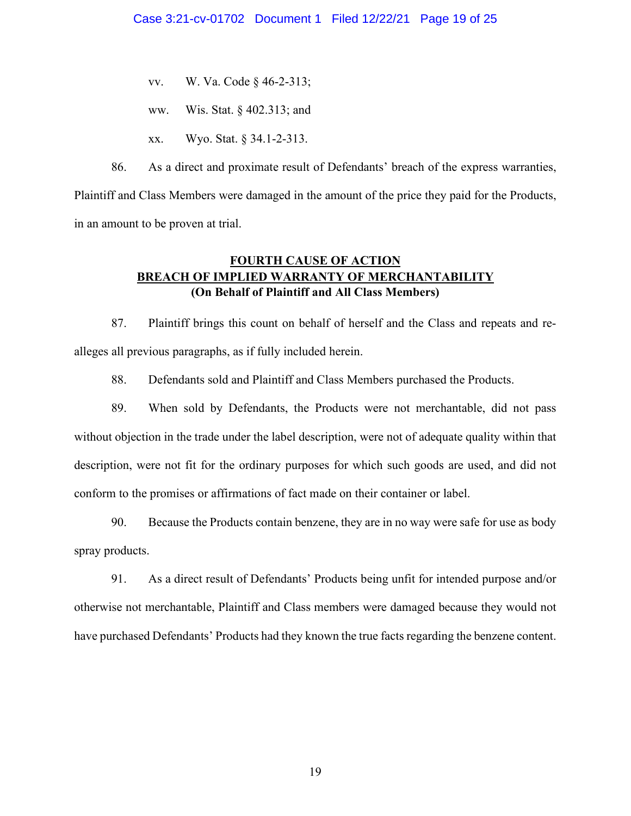- vv. W. Va. Code § 46-2-313;
- ww. Wis. Stat. § 402.313; and
- xx. Wyo. Stat. § 34.1-2-313.

86. As a direct and proximate result of Defendants' breach of the express warranties, Plaintiff and Class Members were damaged in the amount of the price they paid for the Products, in an amount to be proven at trial.

# **FOURTH CAUSE OF ACTION BREACH OF IMPLIED WARRANTY OF MERCHANTABILITY (On Behalf of Plaintiff and All Class Members)**

87. Plaintiff brings this count on behalf of herself and the Class and repeats and realleges all previous paragraphs, as if fully included herein.

88. Defendants sold and Plaintiff and Class Members purchased the Products.

89. When sold by Defendants, the Products were not merchantable, did not pass without objection in the trade under the label description, were not of adequate quality within that description, were not fit for the ordinary purposes for which such goods are used, and did not conform to the promises or affirmations of fact made on their container or label.

90. Because the Products contain benzene, they are in no way were safe for use as body spray products.

91. As a direct result of Defendants' Products being unfit for intended purpose and/or otherwise not merchantable, Plaintiff and Class members were damaged because they would not have purchased Defendants' Products had they known the true facts regarding the benzene content.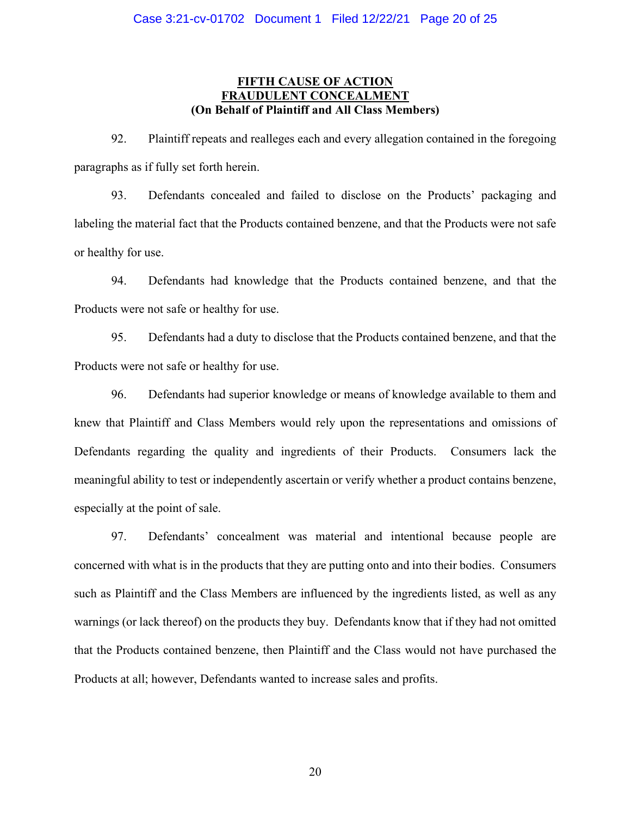### **FIFTH CAUSE OF ACTION FRAUDULENT CONCEALME (On Behalf of Plaintiff and All Class Members)**

92. Plaintiff repeats and realleges each and every allegation contained in the foregoing paragraphs as if fully set forth herein.

93. Defendants concealed and failed to disclose on the Products' packaging and labeling the material fact that the Products contained benzene, and that the Products were not safe or healthy for use.

94. Defendants had knowledge that the Products contained benzene, and that the Products were not safe or healthy for use.

95. Defendants had a duty to disclose that the Products contained benzene, and that the Products were not safe or healthy for use.

96. Defendants had superior knowledge or means of knowledge available to them and knew that Plaintiff and Class Members would rely upon the representations and omissions of Defendants regarding the quality and ingredients of their Products. Consumers lack the meaningful ability to test or independently ascertain or verify whether a product contains benzene, especially at the point of sale.

97. Defendants' concealment was material and intentional because people are concerned with what is in the products that they are putting onto and into their bodies. Consumers such as Plaintiff and the Class Members are influenced by the ingredients listed, as well as any warnings (or lack thereof) on the products they buy. Defendants know that if they had not omitted that the Products contained benzene, then Plaintiff and the Class would not have purchased the Products at all; however, Defendants wanted to increase sales and profits.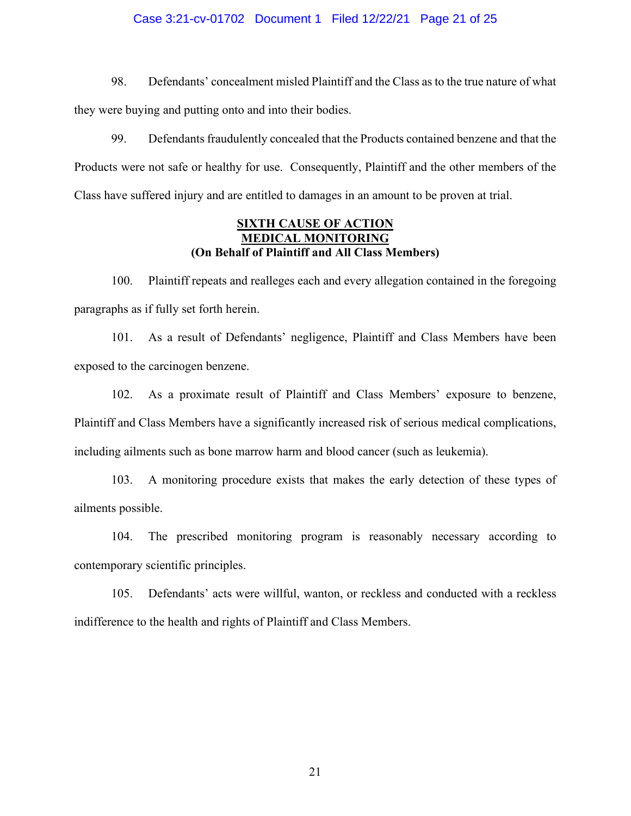#### Case 3:21-cv-01702 Document 1 Filed 12/22/21 Page 21 of 25

98. Defendants' concealment misled Plaintiff and the Class as to the true nature of what they were buying and putting onto and into their bodies.

99. Defendants fraudulently concealed that the Products contained benzene and that the Products were not safe or healthy for use. Consequently, Plaintiff and the other members of the Class have suffered injury and are entitled to damages in an amount to be proven at trial.

### **SIXTH CAUSE OF ACTION MEDICAL MONITORING (On Behalf of Plaintiff and All Class Members)**

100. Plaintiff repeats and realleges each and every allegation contained in the foregoing paragraphs as if fully set forth herein.

101. As a result of Defendants' negligence, Plaintiff and Class Members have been exposed to the carcinogen benzene.

102. As a proximate result of Plaintiff and Class Members' exposure to benzene, Plaintiff and Class Members have a significantly increased risk of serious medical complications, including ailments such as bone marrow harm and blood cancer (such as leukemia).

103. A monitoring procedure exists that makes the early detection of these types of ailments possible.

104. The prescribed monitoring program is reasonably necessary according to contemporary scientific principles.

105. Defendants' acts were willful, wanton, or reckless and conducted with a reckless indifference to the health and rights of Plaintiff and Class Members.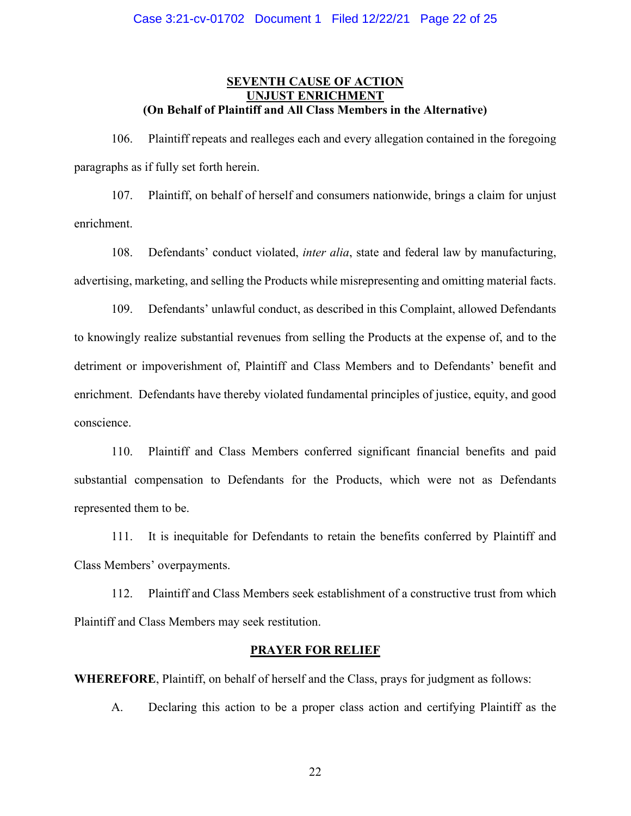### **SEVENTH CAUSE OF ACTION UNJUST ENRICHMENT (On Behalf of Plaintiff and All Class Members in the Alternative)**

106. Plaintiff repeats and realleges each and every allegation contained in the foregoing paragraphs as if fully set forth herein.

107. Plaintiff, on behalf of herself and consumers nationwide, brings a claim for unjust enrichment.

108. Defendants' conduct violated, *inter alia*, state and federal law by manufacturing, advertising, marketing, and selling the Products while misrepresenting and omitting material facts.

109. Defendants' unlawful conduct, as described in this Complaint, allowed Defendants to knowingly realize substantial revenues from selling the Products at the expense of, and to the detriment or impoverishment of, Plaintiff and Class Members and to Defendants' benefit and enrichment. Defendants have thereby violated fundamental principles of justice, equity, and good conscience.

110. Plaintiff and Class Members conferred significant financial benefits and paid substantial compensation to Defendants for the Products, which were not as Defendants represented them to be.

111. It is inequitable for Defendants to retain the benefits conferred by Plaintiff and Class Members' overpayments.

112. Plaintiff and Class Members seek establishment of a constructive trust from which Plaintiff and Class Members may seek restitution.

### **PRAYER FOR RELIEF**

**WHEREFORE**, Plaintiff, on behalf of herself and the Class, prays for judgment as follows:

A. Declaring this action to be a proper class action and certifying Plaintiff as the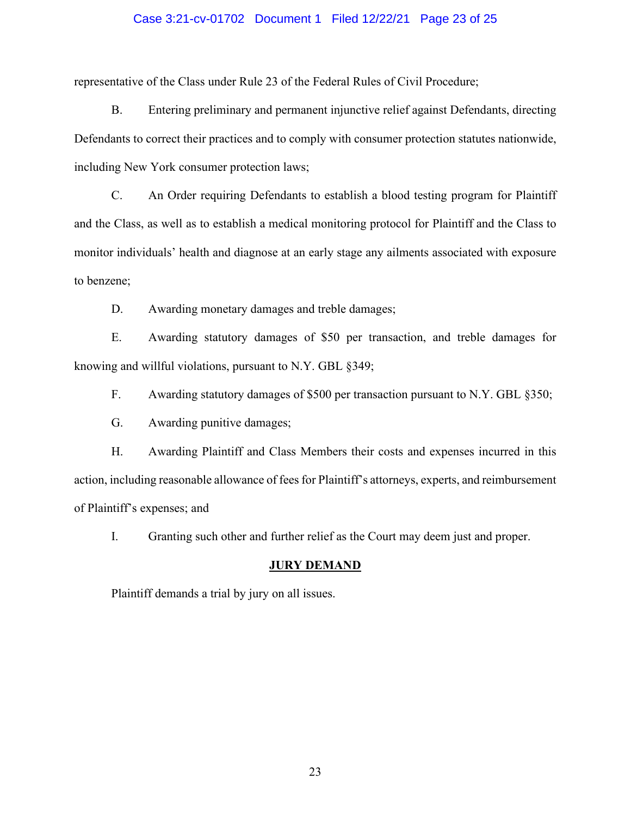#### Case 3:21-cv-01702 Document 1 Filed 12/22/21 Page 23 of 25

representative of the Class under Rule 23 of the Federal Rules of Civil Procedure;

B. Entering preliminary and permanent injunctive relief against Defendants, directing Defendants to correct their practices and to comply with consumer protection statutes nationwide, including New York consumer protection laws;

C. An Order requiring Defendants to establish a blood testing program for Plaintiff and the Class, as well as to establish a medical monitoring protocol for Plaintiff and the Class to monitor individuals' health and diagnose at an early stage any ailments associated with exposure to benzene;

D. Awarding monetary damages and treble damages;

E. Awarding statutory damages of \$50 per transaction, and treble damages for knowing and willful violations, pursuant to N.Y. GBL §349;

F. Awarding statutory damages of \$500 per transaction pursuant to N.Y. GBL §350;

G. Awarding punitive damages;

H. Awarding Plaintiff and Class Members their costs and expenses incurred in this action, including reasonable allowance of fees for Plaintiff's attorneys, experts, and reimbursement of Plaintiff's expenses; and

I. Granting such other and further relief as the Court may deem just and proper.

#### **JURY DEMAND**

Plaintiff demands a trial by jury on all issues.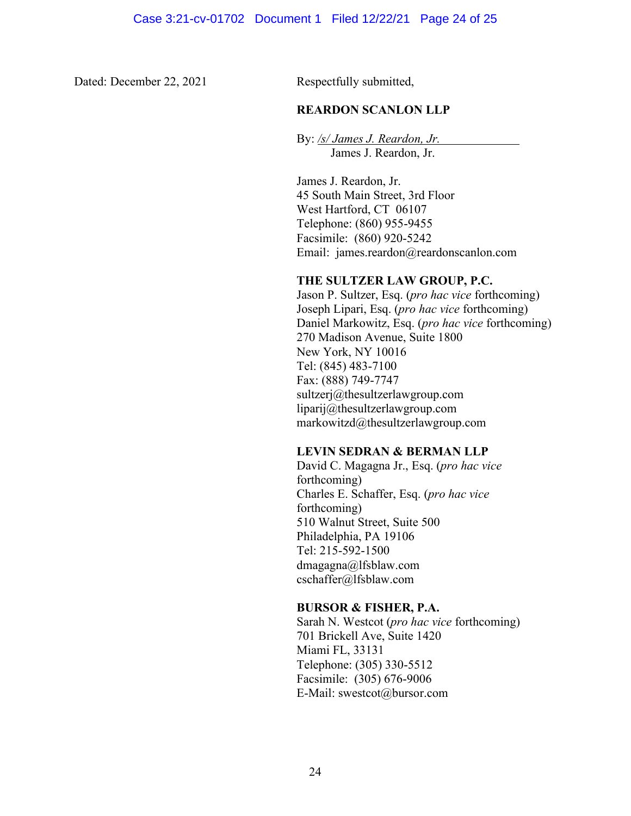Dated: December 22, 2021 Respectfully submitted,

### **REARDON SCANLON LLP**

By: */s/ James J. Reardon, Jr.* James J. Reardon, Jr.

James J. Reardon, Jr. 45 South Main Street, 3rd Floor West Hartford, CT 06107 Telephone: (860) 955-9455 Facsimile: (860) 920-5242 Email: james.reardon@reardonscanlon.com

### **THE SULTZER LAW GROUP, P.C.**

Jason P. Sultzer, Esq. (*pro hac vice* forthcoming) Joseph Lipari, Esq. (*pro hac vice* forthcoming) Daniel Markowitz, Esq. (*pro hac vice* forthcoming) 270 Madison Avenue, Suite 1800 New York, NY 10016 Tel: (845) 483-7100 Fax: (888) 749-7747 sultzerj@thesultzerlawgroup.com liparij@thesultzerlawgroup.com markowitzd@thesultzerlawgroup.com

### **LEVIN SEDRAN & BERMAN LLP**

David C. Magagna Jr., Esq. (*pro hac vice*  forthcoming) Charles E. Schaffer, Esq. (*pro hac vice*  forthcoming) 510 Walnut Street, Suite 500 Philadelphia, PA 19106 Tel: 215-592-1500 dmagagna@lfsblaw.com cschaffer@lfsblaw.com

### **BURSOR & FISHER, P.A.**

Sarah N. Westcot (*pro hac vice* forthcoming) 701 Brickell Ave, Suite 1420 Miami FL, 33131 Telephone: (305) 330-5512 Facsimile: (305) 676-9006 E-Mail: swestcot@bursor.com